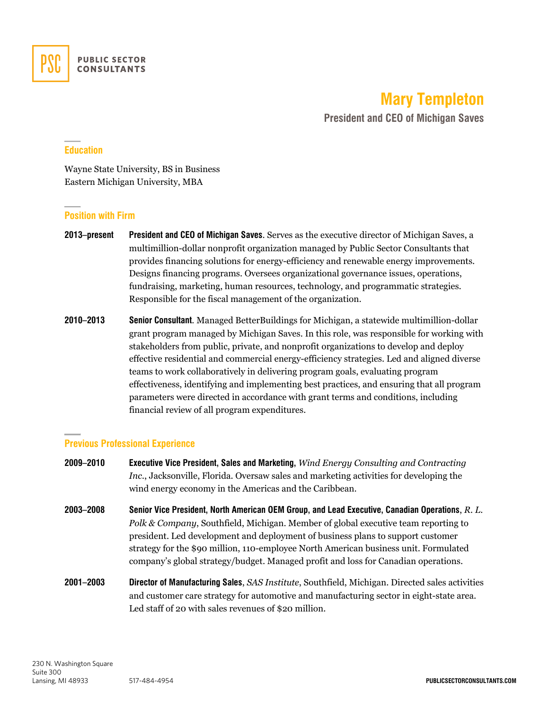

**Mary Templeton**

**President and CEO of Michigan Saves**

# **Education**

Wayne State University, BS in Business Eastern Michigan University, MBA

## **Position with Firm**

- **2013–present President and CEO of Michigan Saves**. Serves as the executive director of Michigan Saves, a multimillion-dollar nonprofit organization managed by Public Sector Consultants that provides financing solutions for energy-efficiency and renewable energy improvements. Designs financing programs. Oversees organizational governance issues, operations, fundraising, marketing, human resources, technology, and programmatic strategies. Responsible for the fiscal management of the organization.
- **2010–2013 Senior Consultant**. Managed BetterBuildings for Michigan, a statewide multimillion-dollar grant program managed by Michigan Saves. In this role, was responsible for working with stakeholders from public, private, and nonprofit organizations to develop and deploy effective residential and commercial energy-efficiency strategies. Led and aligned diverse teams to work collaboratively in delivering program goals, evaluating program effectiveness, identifying and implementing best practices, and ensuring that all program parameters were directed in accordance with grant terms and conditions, including financial review of all program expenditures.

## **Previous Professional Experience**

- **2009–2010 Executive Vice President, Sales and Marketing,** *Wind Energy Consulting and Contracting Inc.*, Jacksonville, Florida. Oversaw sales and marketing activities for developing the wind energy economy in the Americas and the Caribbean.
- **2003–2008 Senior Vice President, North American OEM Group, and Lead Executive, Canadian Operations**, *R. L. Polk & Company*, Southfield, Michigan. Member of global executive team reporting to president. Led development and deployment of business plans to support customer strategy for the \$90 million, 110-employee North American business unit. Formulated company's global strategy/budget. Managed profit and loss for Canadian operations.
- **2001–2003 Director of Manufacturing Sales**, *SAS Institute*, Southfield, Michigan. Directed sales activities and customer care strategy for automotive and manufacturing sector in eight-state area. Led staff of 20 with sales revenues of \$20 million.